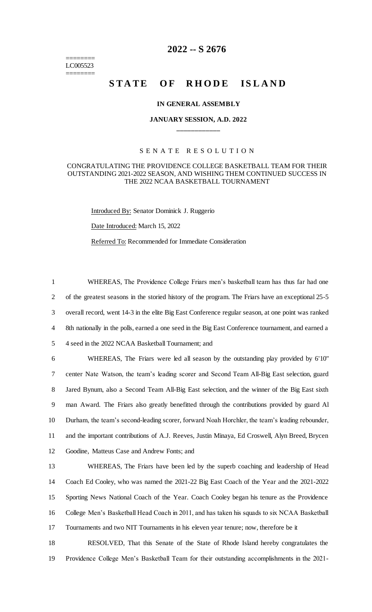======== LC005523 ========

# **2022 -- S 2676**

# **STATE OF RHODE ISLAND**

### **IN GENERAL ASSEMBLY**

# **JANUARY SESSION, A.D. 2022 \_\_\_\_\_\_\_\_\_\_\_\_**

## S E N A T E R E S O L U T I O N

### CONGRATULATING THE PROVIDENCE COLLEGE BASKETBALL TEAM FOR THEIR OUTSTANDING 2021-2022 SEASON, AND WISHING THEM CONTINUED SUCCESS IN THE 2022 NCAA BASKETBALL TOURNAMENT

Introduced By: Senator Dominick J. Ruggerio

Date Introduced: March 15, 2022

Referred To: Recommended for Immediate Consideration

 WHEREAS, The Providence College Friars men's basketball team has thus far had one of the greatest seasons in the storied history of the program. The Friars have an exceptional 25-5 overall record, went 14-3 in the elite Big East Conference regular season, at one point was ranked 8th nationally in the polls, earned a one seed in the Big East Conference tournament, and earned a 4 seed in the 2022 NCAA Basketball Tournament; and

 WHEREAS, The Friars were led all season by the outstanding play provided by 6'10" center Nate Watson, the team's leading scorer and Second Team All-Big East selection, guard Jared Bynum, also a Second Team All-Big East selection, and the winner of the Big East sixth man Award. The Friars also greatly benefitted through the contributions provided by guard Al Durham, the team's second-leading scorer, forward Noah Horchler, the team's leading rebounder, and the important contributions of A.J. Reeves, Justin Minaya, Ed Croswell, Alyn Breed, Brycen Goodine, Matteus Case and Andrew Fonts; and

 WHEREAS, The Friars have been led by the superb coaching and leadership of Head Coach Ed Cooley, who was named the 2021-22 Big East Coach of the Year and the 2021-2022 Sporting News National Coach of the Year. Coach Cooley began his tenure as the Providence College Men's Basketball Head Coach in 2011, and has taken his squads to six NCAA Basketball Tournaments and two NIT Tournaments in his eleven year tenure; now, therefore be it

18 RESOLVED, That this Senate of the State of Rhode Island hereby congratulates the 19 Providence College Men's Basketball Team for their outstanding accomplishments in the 2021-